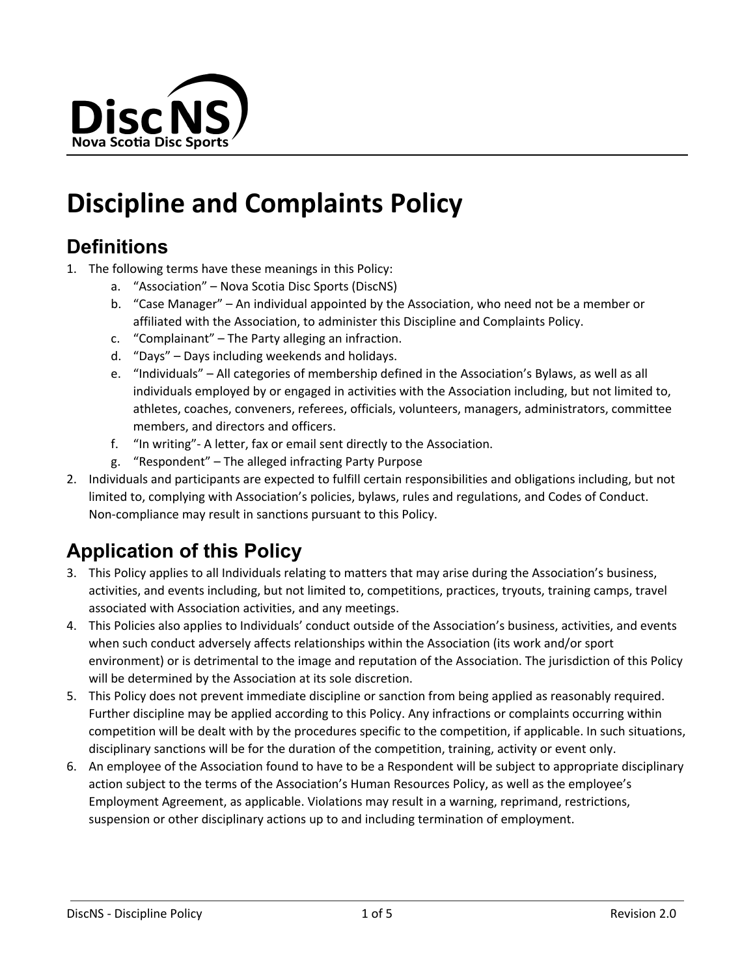

# **Discipline and Complaints Policy**

### **Definitions**

- 1. The following terms have these meanings in this Policy:
	- a. "Association" Nova Scotia Disc Sports (DiscNS)
	- b. "Case Manager" An individual appointed by the Association, who need not be a member or affiliated with the Association, to administer this Discipline and Complaints Policy.
	- c. "Complainant" The Party alleging an infraction.
	- d. "Days" Days including weekends and holidays.
	- e. "Individuals" All categories of membership defined in the Association's Bylaws, as well as all individuals employed by or engaged in activities with the Association including, but not limited to, athletes, coaches, conveners, referees, officials, volunteers, managers, administrators, committee members, and directors and officers.
	- f. "In writing"- A letter, fax or email sent directly to the Association.
	- g. "Respondent" The alleged infracting Party Purpose
- 2. Individuals and participants are expected to fulfill certain responsibilities and obligations including, but not limited to, complying with Association's policies, bylaws, rules and regulations, and Codes of Conduct. Non-compliance may result in sanctions pursuant to this Policy.

# **Application of this Policy**

- 3. This Policy applies to all Individuals relating to matters that may arise during the Association's business, activities, and events including, but not limited to, competitions, practices, tryouts, training camps, travel associated with Association activities, and any meetings.
- 4. This Policies also applies to Individuals' conduct outside of the Association's business, activities, and events when such conduct adversely affects relationships within the Association (its work and/or sport environment) or is detrimental to the image and reputation of the Association. The jurisdiction of this Policy will be determined by the Association at its sole discretion.
- 5. This Policy does not prevent immediate discipline or sanction from being applied as reasonably required. Further discipline may be applied according to this Policy. Any infractions or complaints occurring within competition will be dealt with by the procedures specific to the competition, if applicable. In such situations, disciplinary sanctions will be for the duration of the competition, training, activity or event only.
- 6. An employee of the Association found to have to be a Respondent will be subject to appropriate disciplinary action subject to the terms of the Association's Human Resources Policy, as well as the employee's Employment Agreement, as applicable. Violations may result in a warning, reprimand, restrictions, suspension or other disciplinary actions up to and including termination of employment.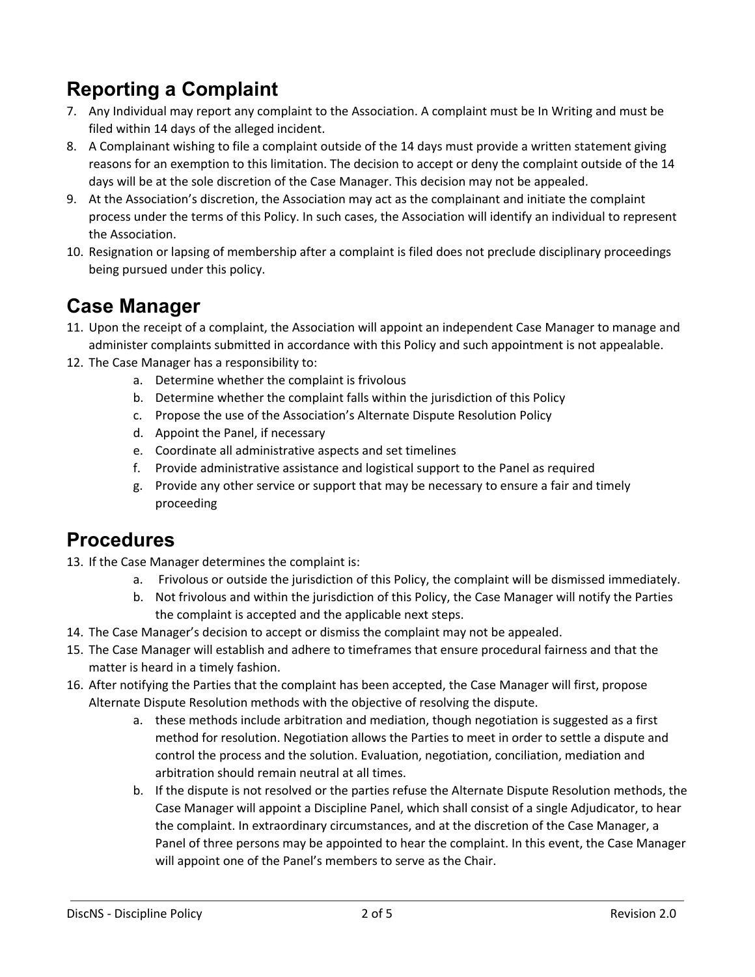# **Reporting a Complaint**

- 7. Any Individual may report any complaint to the Association. A complaint must be In Writing and must be filed within 14 days of the alleged incident.
- 8. A Complainant wishing to file a complaint outside of the 14 days must provide a written statement giving reasons for an exemption to this limitation. The decision to accept or deny the complaint outside of the 14 days will be at the sole discretion of the Case Manager. This decision may not be appealed.
- 9. At the Association's discretion, the Association may act as the complainant and initiate the complaint process under the terms of this Policy. In such cases, the Association will identify an individual to represent the Association.
- 10. Resignation or lapsing of membership after a complaint is filed does not preclude disciplinary proceedings being pursued under this policy.

#### **Case Manager**

- 11. Upon the receipt of a complaint, the Association will appoint an independent Case Manager to manage and administer complaints submitted in accordance with this Policy and such appointment is not appealable.
- 12. The Case Manager has a responsibility to:
	- a. Determine whether the complaint is frivolous
	- b. Determine whether the complaint falls within the jurisdiction of this Policy
	- c. Propose the use of the Association's Alternate Dispute Resolution Policy
	- d. Appoint the Panel, if necessary
	- e. Coordinate all administrative aspects and set timelines
	- f. Provide administrative assistance and logistical support to the Panel as required
	- g. Provide any other service or support that may be necessary to ensure a fair and timely proceeding

#### **Procedures**

- 13. If the Case Manager determines the complaint is:
	- a. Frivolous or outside the jurisdiction of this Policy, the complaint will be dismissed immediately.
	- b. Not frivolous and within the jurisdiction of this Policy, the Case Manager will notify the Parties the complaint is accepted and the applicable next steps.
- 14. The Case Manager's decision to accept or dismiss the complaint may not be appealed.
- 15. The Case Manager will establish and adhere to timeframes that ensure procedural fairness and that the matter is heard in a timely fashion.
- 16. After notifying the Parties that the complaint has been accepted, the Case Manager will first, propose Alternate Dispute Resolution methods with the objective of resolving the dispute.
	- a. these methods include arbitration and mediation, though negotiation is suggested as a first method for resolution. Negotiation allows the Parties to meet in order to settle a dispute and control the process and the solution. Evaluation, negotiation, conciliation, mediation and arbitration should remain neutral at all times.
	- b. If the dispute is not resolved or the parties refuse the Alternate Dispute Resolution methods, the Case Manager will appoint a Discipline Panel, which shall consist of a single Adjudicator, to hear the complaint. In extraordinary circumstances, and at the discretion of the Case Manager, a Panel of three persons may be appointed to hear the complaint. In this event, the Case Manager will appoint one of the Panel's members to serve as the Chair.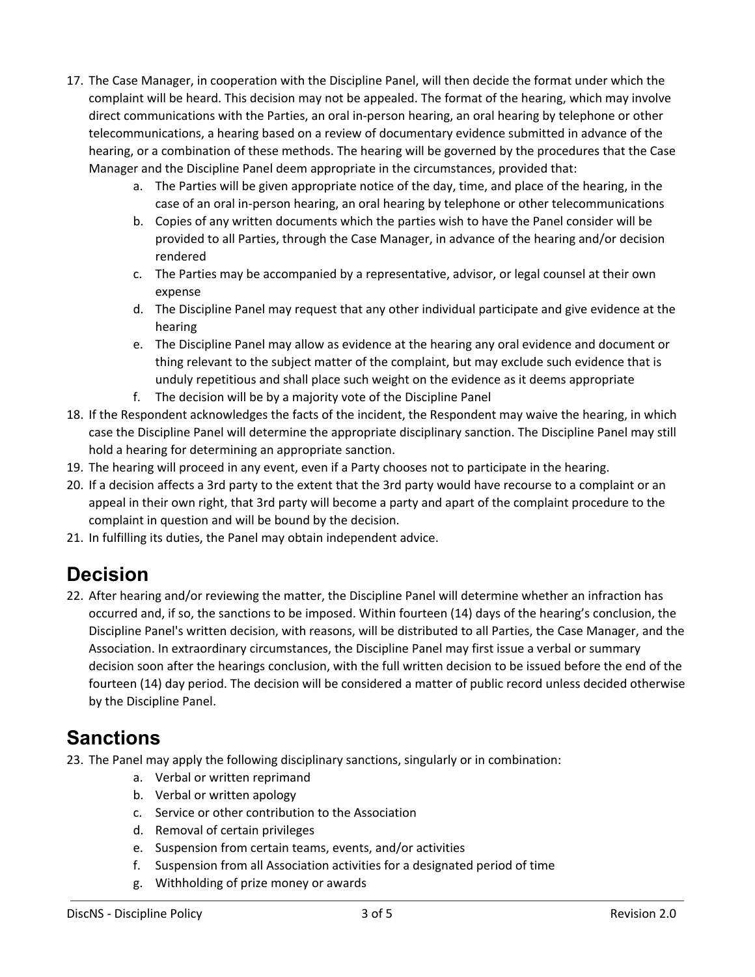- 17. The Case Manager, in cooperation with the Discipline Panel, will then decide the format under which the complaint will be heard. This decision may not be appealed. The format of the hearing, which may involve direct communications with the Parties, an oral in-person hearing, an oral hearing by telephone or other telecommunications, a hearing based on a review of documentary evidence submitted in advance of the hearing, or a combination of these methods. The hearing will be governed by the procedures that the Case Manager and the Discipline Panel deem appropriate in the circumstances, provided that:
	- a. The Parties will be given appropriate notice of the day, time, and place of the hearing, in the case of an oral in-person hearing, an oral hearing by telephone or other telecommunications
	- b. Copies of any written documents which the parties wish to have the Panel consider will be provided to all Parties, through the Case Manager, in advance of the hearing and/or decision rendered
	- c. The Parties may be accompanied by a representative, advisor, or legal counsel at their own expense
	- d. The Discipline Panel may request that any other individual participate and give evidence at the hearing
	- e. The Discipline Panel may allow as evidence at the hearing any oral evidence and document or thing relevant to the subject matter of the complaint, but may exclude such evidence that is unduly repetitious and shall place such weight on the evidence as it deems appropriate
	- f. The decision will be by a majority vote of the Discipline Panel
- 18. If the Respondent acknowledges the facts of the incident, the Respondent may waive the hearing, in which case the Discipline Panel will determine the appropriate disciplinary sanction. The Discipline Panel may still hold a hearing for determining an appropriate sanction.
- 19. The hearing will proceed in any event, even if a Party chooses not to participate in the hearing.
- 20. If a decision affects a 3rd party to the extent that the 3rd party would have recourse to a complaint or an appeal in their own right, that 3rd party will become a party and apart of the complaint procedure to the complaint in question and will be bound by the decision.
- 21. In fulfilling its duties, the Panel may obtain independent advice.

# **Decision**

22. After hearing and/or reviewing the matter, the Discipline Panel will determine whether an infraction has occurred and, if so, the sanctions to be imposed. Within fourteen (14) days of the hearing's conclusion, the Discipline Panel's written decision, with reasons, will be distributed to all Parties, the Case Manager, and the Association. In extraordinary circumstances, the Discipline Panel may first issue a verbal or summary decision soon after the hearings conclusion, with the full written decision to be issued before the end of the fourteen (14) day period. The decision will be considered a matter of public record unless decided otherwise by the Discipline Panel.

#### **Sanctions**

- 23. The Panel may apply the following disciplinary sanctions, singularly or in combination:
	- a. Verbal or written reprimand
	- b. Verbal or written apology
	- c. Service or other contribution to the Association
	- d. Removal of certain privileges
	- e. Suspension from certain teams, events, and/or activities
	- f. Suspension from all Association activities for a designated period of time
	- g. Withholding of prize money or awards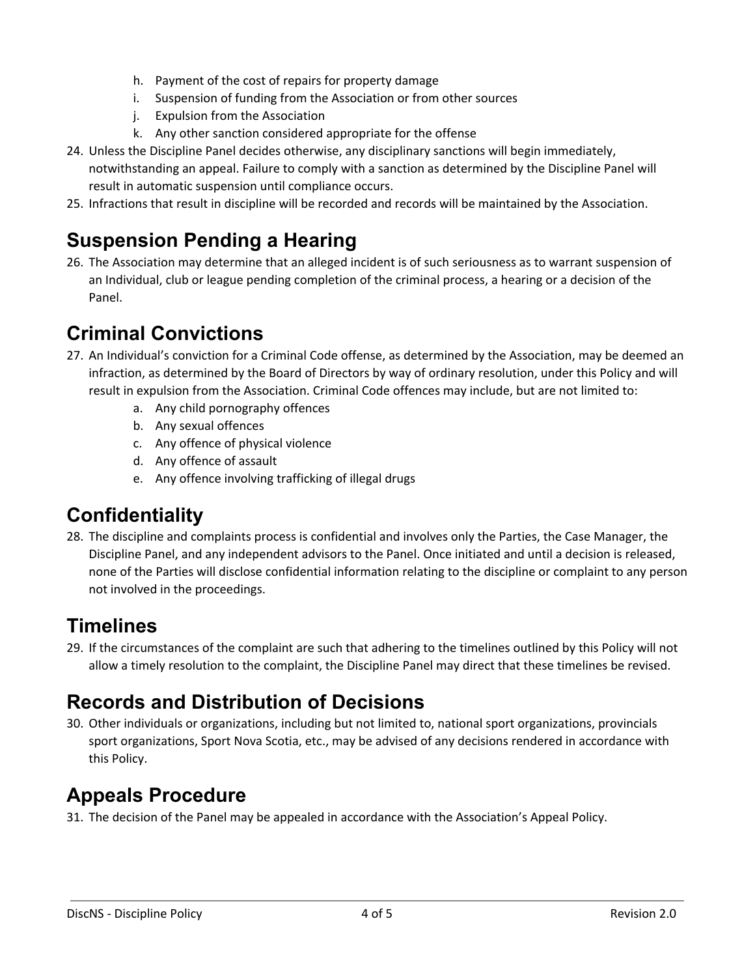- h. Payment of the cost of repairs for property damage
- i. Suspension of funding from the Association or from other sources
- j. Expulsion from the Association
- k. Any other sanction considered appropriate for the offense
- 24. Unless the Discipline Panel decides otherwise, any disciplinary sanctions will begin immediately, notwithstanding an appeal. Failure to comply with a sanction as determined by the Discipline Panel will result in automatic suspension until compliance occurs.
- 25. Infractions that result in discipline will be recorded and records will be maintained by the Association.

# **Suspension Pending a Hearing**

26. The Association may determine that an alleged incident is of such seriousness as to warrant suspension of an Individual, club or league pending completion of the criminal process, a hearing or a decision of the Panel.

# **Criminal Convictions**

- 27. An Individual's conviction for a Criminal Code offense, as determined by the Association, may be deemed an infraction, as determined by the Board of Directors by way of ordinary resolution, under this Policy and will result in expulsion from the Association. Criminal Code offences may include, but are not limited to:
	- a. Any child pornography offences
	- b. Any sexual offences
	- c. Any offence of physical violence
	- d. Any offence of assault
	- e. Any offence involving trafficking of illegal drugs

# **Confidentiality**

28. The discipline and complaints process is confidential and involves only the Parties, the Case Manager, the Discipline Panel, and any independent advisors to the Panel. Once initiated and until a decision is released, none of the Parties will disclose confidential information relating to the discipline or complaint to any person not involved in the proceedings.

### **Timelines**

29. If the circumstances of the complaint are such that adhering to the timelines outlined by this Policy will not allow a timely resolution to the complaint, the Discipline Panel may direct that these timelines be revised.

# **Records and Distribution of Decisions**

30. Other individuals or organizations, including but not limited to, national sport organizations, provincials sport organizations, Sport Nova Scotia, etc., may be advised of any decisions rendered in accordance with this Policy.

# **Appeals Procedure**

31. The decision of the Panel may be appealed in accordance with the Association's Appeal Policy.